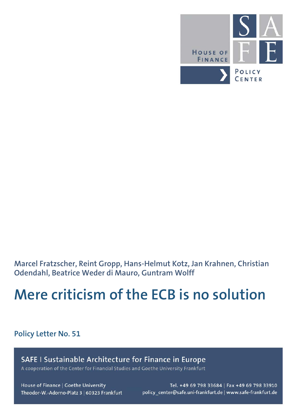

**Marcel Fratzscher, Reint Gropp, Hans-Helmut Kotz, Jan Krahnen, Christian Odendahl, Beatrice Weder di Mauro, Guntram Wolff** 

## **Mere criticism of the ECB is no solution**

**Policy Letter No. 51** 

SAFE I Sustainable Architecture for Finance in Europe A cooperation of the Center for Financial Studies and Goethe University Frankfurt

House of Finance | Goethe University Theodor-W.-Adorno-Platz 3 | 60323 Frankfurt

Tel. +49 69 798 33684 | Fax +49 69 798 33910 policy\_center@safe.uni-frankfurt.de | www.safe-frankfurt.de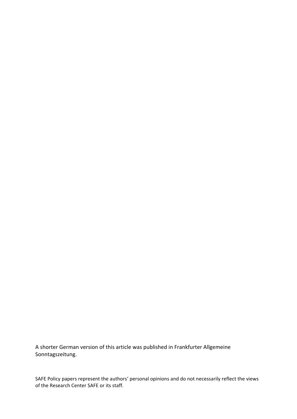A shorter German version of this article was published in Frankfurter Allgemeine Sonntagszeitung.

SAFE Policy papers represent the authors' personal opinions and do not necessarily reflect the views of the Research Center SAFE or its staff.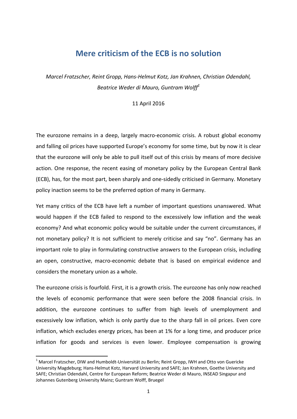## **Mere criticism of the ECB is no solution**

*Marcel Fratzscher, Reint Gropp, Hans‐Helmut Kotz, Jan Krahnen, Christian Odendahl, Beatrice Weder di Mauro, Guntram Wolff<sup>1</sup>*

11 April 2016

The eurozone remains in a deep, largely macro‐economic crisis. A robust global economy and falling oil prices have supported Europe's economy for some time, but by now it is clear that the eurozone will only be able to pull itself out of this crisis by means of more decisive action. One response, the recent easing of monetary policy by the European Central Bank (ECB), has, for the most part, been sharply and one‐sidedly criticised in Germany. Monetary policy inaction seems to be the preferred option of many in Germany.

Yet many critics of the ECB have left a number of important questions unanswered. What would happen if the ECB failed to respond to the excessively low inflation and the weak economy? And what economic policy would be suitable under the current circumstances, if not monetary policy? It is not sufficient to merely criticise and say "no". Germany has an important role to play in formulating constructive answers to the European crisis, including an open, constructive, macro‐economic debate that is based on empirical evidence and considers the monetary union as a whole.

The eurozone crisis is fourfold. First, it is a growth crisis. The eurozone has only now reached the levels of economic performance that were seen before the 2008 financial crisis. In addition, the eurozone continues to suffer from high levels of unemployment and excessively low inflation, which is only partly due to the sharp fall in oil prices. Even core inflation, which excludes energy prices, has been at 1% for a long time, and producer price inflation for goods and services is even lower. Employee compensation is growing

 $1$  Marcel Fratzscher, DIW and Humboldt-Universität zu Berlin; Reint Gropp, IWH and Otto von Guericke University Magdeburg; Hans‐Helmut Kotz, Harvard University and SAFE; Jan Krahnen, Goethe University and SAFE; Christian Odendahl, Centre for European Reform; Beatrice Weder di Mauro, INSEAD Singapur and Johannes Gutenberg University Mainz; Guntram Wolff, Bruegel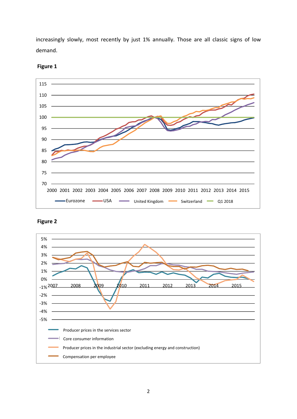increasingly slowly, most recently by just 1% annually. Those are all classic signs of low demand.



## **Figure 1**

**Figure 2**

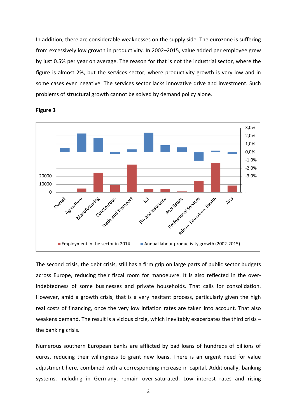In addition, there are considerable weaknesses on the supply side. The eurozone is suffering from excessively low growth in productivity. In 2002–2015, value added per employee grew by just 0.5% per year on average. The reason for that is not the industrial sector, where the figure is almost 2%, but the services sector, where productivity growth is very low and in some cases even negative. The services sector lacks innovative drive and investment. Such problems of structural growth cannot be solved by demand policy alone.



## **Figure 3**

The second crisis, the debt crisis, still has a firm grip on large parts of public sector budgets across Europe, reducing their fiscal room for manoeuvre. It is also reflected in the over‐ indebtedness of some businesses and private households. That calls for consolidation. However, amid a growth crisis, that is a very hesitant process, particularly given the high real costs of financing, once the very low inflation rates are taken into account. That also weakens demand. The result is a vicious circle, which inevitably exacerbates the third crisis – the banking crisis.

Numerous southern European banks are afflicted by bad loans of hundreds of billions of euros, reducing their willingness to grant new loans. There is an urgent need for value adjustment here, combined with a corresponding increase in capital. Additionally, banking systems, including in Germany, remain over-saturated. Low interest rates and rising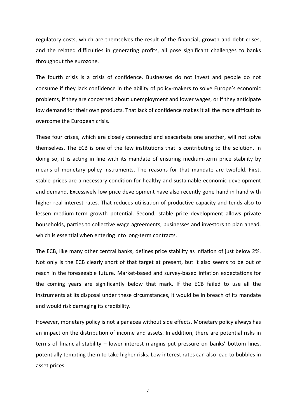regulatory costs, which are themselves the result of the financial, growth and debt crises, and the related difficulties in generating profits, all pose significant challenges to banks throughout the eurozone.

The fourth crisis is a crisis of confidence. Businesses do not invest and people do not consume if they lack confidence in the ability of policy‐makers to solve Europe's economic problems, if they are concerned about unemployment and lower wages, or if they anticipate low demand for their own products. That lack of confidence makes it all the more difficult to overcome the European crisis.

These four crises, which are closely connected and exacerbate one another, will not solve themselves. The ECB is one of the few institutions that is contributing to the solution. In doing so, it is acting in line with its mandate of ensuring medium‐term price stability by means of monetary policy instruments. The reasons for that mandate are twofold. First, stable prices are a necessary condition for healthy and sustainable economic development and demand. Excessively low price development have also recently gone hand in hand with higher real interest rates. That reduces utilisation of productive capacity and tends also to lessen medium‐term growth potential. Second, stable price development allows private households, parties to collective wage agreements, businesses and investors to plan ahead, which is essential when entering into long-term contracts.

The ECB, like many other central banks, defines price stability as inflation of just below 2%. Not only is the ECB clearly short of that target at present, but it also seems to be out of reach in the foreseeable future. Market‐based and survey‐based inflation expectations for the coming years are significantly below that mark. If the ECB failed to use all the instruments at its disposal under these circumstances, it would be in breach of its mandate and would risk damaging its credibility.

However, monetary policy is not a panacea without side effects. Monetary policy always has an impact on the distribution of income and assets. In addition, there are potential risks in terms of financial stability – lower interest margins put pressure on banks' bottom lines, potentially tempting them to take higher risks. Low interest rates can also lead to bubbles in asset prices.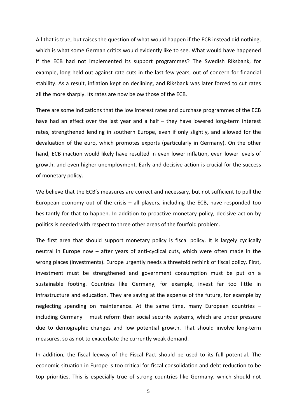All that is true, but raises the question of what would happen if the ECB instead did nothing, which is what some German critics would evidently like to see. What would have happened if the ECB had not implemented its support programmes? The Swedish Riksbank, for example, long held out against rate cuts in the last few years, out of concern for financial stability. As a result, inflation kept on declining, and Riksbank was later forced to cut rates all the more sharply. Its rates are now below those of the ECB.

There are some indications that the low interest rates and purchase programmes of the ECB have had an effect over the last year and a half – they have lowered long-term interest rates, strengthened lending in southern Europe, even if only slightly, and allowed for the devaluation of the euro, which promotes exports (particularly in Germany). On the other hand, ECB inaction would likely have resulted in even lower inflation, even lower levels of growth, and even higher unemployment. Early and decisive action is crucial for the success of monetary policy.

We believe that the ECB's measures are correct and necessary, but not sufficient to pull the European economy out of the crisis  $-$  all players, including the ECB, have responded too hesitantly for that to happen. In addition to proactive monetary policy, decisive action by politics is needed with respect to three other areas of the fourfold problem.

The first area that should support monetary policy is fiscal policy. It is largely cyclically neutral in Europe now – after years of anti‐cyclical cuts, which were often made in the wrong places (investments). Europe urgently needs a threefold rethink of fiscal policy. First, investment must be strengthened and government consumption must be put on a sustainable footing. Countries like Germany, for example, invest far too little in infrastructure and education. They are saving at the expense of the future, for example by neglecting spending on maintenance. At the same time, many European countries – including Germany – must reform their social security systems, which are under pressure due to demographic changes and low potential growth. That should involve long‐term measures, so as not to exacerbate the currently weak demand.

In addition, the fiscal leeway of the Fiscal Pact should be used to its full potential. The economic situation in Europe is too critical for fiscal consolidation and debt reduction to be top priorities. This is especially true of strong countries like Germany, which should not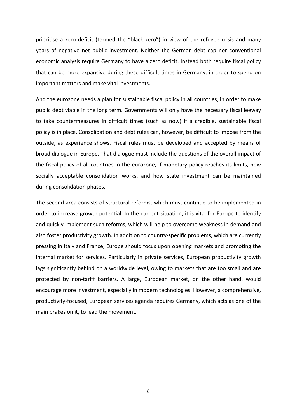prioritise a zero deficit (termed the "black zero") in view of the refugee crisis and many years of negative net public investment. Neither the German debt cap nor conventional economic analysis require Germany to have a zero deficit. Instead both require fiscal policy that can be more expansive during these difficult times in Germany, in order to spend on important matters and make vital investments.

And the eurozone needs a plan for sustainable fiscal policy in all countries, in order to make public debt viable in the long term. Governments will only have the necessary fiscal leeway to take countermeasures in difficult times (such as now) if a credible, sustainable fiscal policy is in place. Consolidation and debt rules can, however, be difficult to impose from the outside, as experience shows. Fiscal rules must be developed and accepted by means of broad dialogue in Europe. That dialogue must include the questions of the overall impact of the fiscal policy of all countries in the eurozone, if monetary policy reaches its limits, how socially acceptable consolidation works, and how state investment can be maintained during consolidation phases.

The second area consists of structural reforms, which must continue to be implemented in order to increase growth potential. In the current situation, it is vital for Europe to identify and quickly implement such reforms, which will help to overcome weakness in demand and also foster productivity growth. In addition to country‐specific problems, which are currently pressing in Italy and France, Europe should focus upon opening markets and promoting the internal market for services. Particularly in private services, European productivity growth lags significantly behind on a worldwide level, owing to markets that are too small and are protected by non-tariff barriers. A large, European market, on the other hand, would encourage more investment, especially in modern technologies. However, a comprehensive, productivity‐focused, European services agenda requires Germany, which acts as one of the main brakes on it, to lead the movement.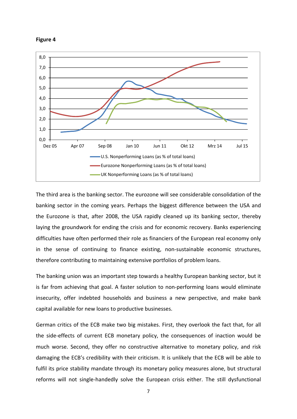



The third area is the banking sector. The eurozone will see considerable consolidation of the banking sector in the coming years. Perhaps the biggest difference between the USA and the Eurozone is that, after 2008, the USA rapidly cleaned up its banking sector, thereby laying the groundwork for ending the crisis and for economic recovery. Banks experiencing difficulties have often performed their role as financiers of the European real economy only in the sense of continuing to finance existing, non-sustainable economic structures, therefore contributing to maintaining extensive portfolios of problem loans.

The banking union was an important step towards a healthy European banking sector, but it is far from achieving that goal. A faster solution to non-performing loans would eliminate insecurity, offer indebted households and business a new perspective, and make bank capital available for new loans to productive businesses.

German critics of the ECB make two big mistakes. First, they overlook the fact that, for all the side‐effects of current ECB monetary policy, the consequences of inaction would be much worse. Second, they offer no constructive alternative to monetary policy, and risk damaging the ECB's credibility with their criticism. It is unlikely that the ECB will be able to fulfil its price stability mandate through its monetary policy measures alone, but structural reforms will not single-handedly solve the European crisis either. The still dysfunctional